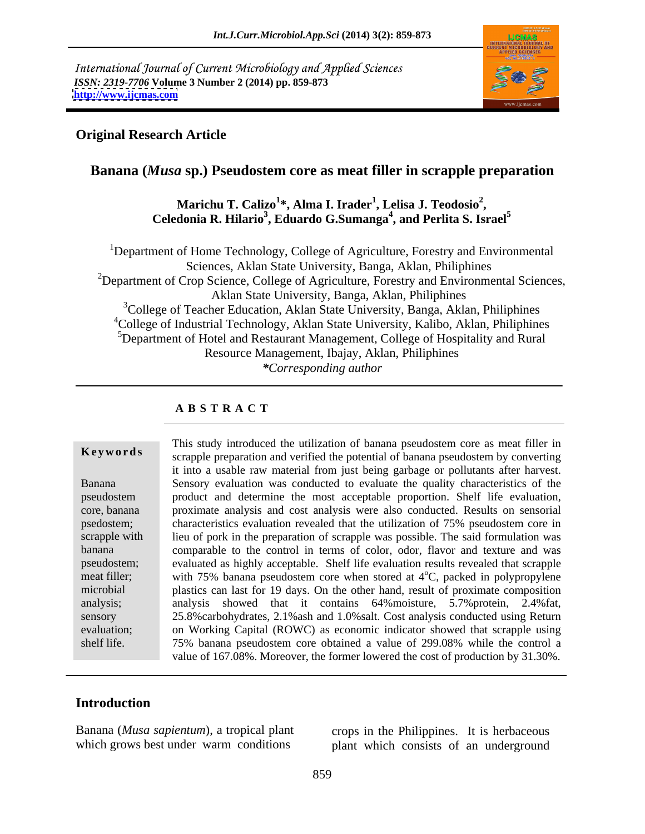International Journal of Current Microbiology and Applied Sciences *ISSN: 2319-7706* **Volume 3 Number 2 (2014) pp. 859-873 <http://www.ijcmas.com>**



### **Original Research Article**

### **Banana (***Musa* **sp.) Pseudostem core as meat filler in scrapple preparation**

### **Marichu T. Calizo<sup>1</sup> \*, Alma I. Irader<sup>1</sup> , Lelisa J. Teodosio<sup>2</sup>** Marichu T. Calizo<sup>1</sup>\*, Alma I. Irader<sup>1</sup>, Lelisa J. Teodosio<sup>2</sup>,<br>Celedonia R. Hilario<sup>3</sup>, Eduardo G.Sumanga<sup>4</sup>, and Perlita S. Israel<sup>5</sup>

<sup>1</sup>Department of Home Technology, College of Agriculture, Forestry and Environmental Sciences, Aklan State University, Banga, Aklan, Philiphines  $2D$ Pepartment of Crop Science, College of Agriculture, Forestry and Environmental Sciences, Aklan State University, Banga, Aklan, Philiphines <sup>3</sup>College of Teacher Education, Aklan State University, Banga, Aklan, Philiphines <sup>4</sup>College of Industrial Technology, Aklan State University, Kalibo, Aklan, Philiphines <sup>5</sup>Department of Hotel and Restaurant Management, College of Hospitality and Rural Resource Management, Ibajay, Aklan, Philiphines *\*Corresponding author* 

### **A B S T R A C T**

**Keywords**<br>
scrapple preparation and verified the potential of banana pseudostem by converting Banana Sensory evaluation was conducted to evaluate the quality characteristics of the pseudostem product and determine the most acceptable proportion. Shelf life evaluation, core, banana proximate analysis and cost analysis were also conducted. Results on sensorial psedostem; characteristics evaluation revealed that the utilization of 75% pseudostem core in scrapple with lieu of pork in the preparation of scrapple was possible. The said formulation was banana comparable to the control in terms of color, odor, flavor and texture and was pseudostem; evaluated as highly acceptable. Shelf life evaluation results revealed that scrapple meat filler; with 75% banana pseudostem core when stored at 4°C, packed in polypropylene microbial plastics can last for 19 days. On the other hand, result of proximate composition analysis; analysis showed that it contains 64%moisture, 5.7%protein, 2.4%fat, sensory 25.8%carbohydrates, 2.1%ash and 1.0%salt. Cost analysis conducted using Return evaluation; a on Working Capital (ROWC) as economic indicator showed that scrapple using **Expresent This study introduced the utilization of banana pseudostem core as meat filler in scrapple preparation and verified the potential of banana pseudostem by converting it into a usable raw material from just being** it into a usable raw material from just being garbage or pollutants after harvest. 75% banana pseudostem core obtained a value of 299.08% while the control a value of 167.08%. Moreover, the former lowered the cost of production by 31.30%.

### **Introduction**

Banana (*Musa sapientum*), a tropical plant crops in the Philippines. It is herbaceous which grows best under warm conditions plant which consists of an underground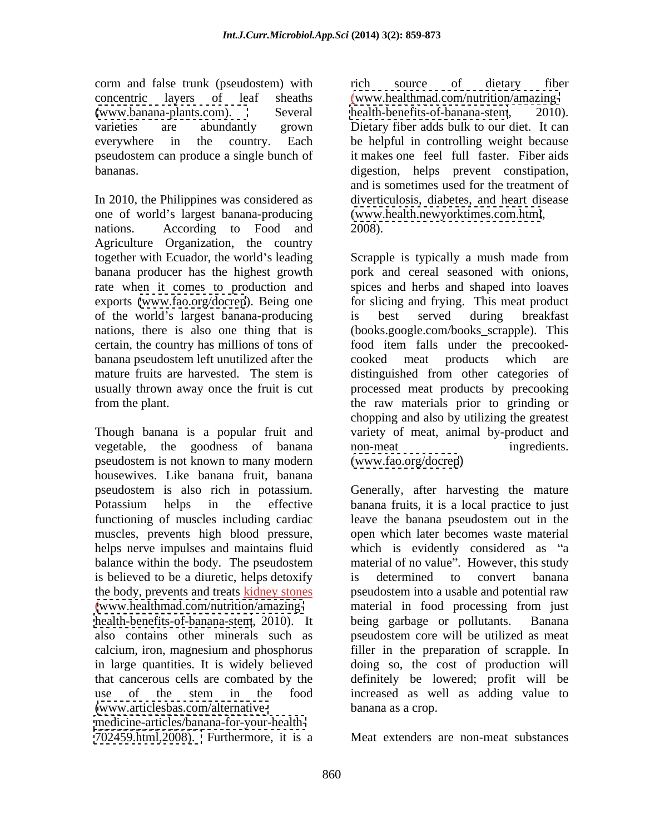corm and false trunk (pseudostem) with rich source of dietary fiber concentric layers of leaf sheaths [\(www.healthmad.com/nutrition/amazing-](http://www.healthmad.com/nutrition/amazing-) [\(www.banana-plants.com\).](http://www.banana-plants.com) Several <health-benefits-of-banana-stem>, 2010). varieties are abundantly grown Dietary fiber adds bulk to our diet. It can everywhere in the country. Each be helpful in controlling weight because pseudostem can produce a single bunch of bananas. **Example 20** is the present of the direction. **helps** prevent constitution.

In 2010, the Philippines was considered as one of world's largest banana-producing nations. According to Food and 2008). Agriculture Organization, the country together with Ecuador, the world's leading Scrapple is typically a mush made from of the world's largest banana-producing is best served during breakfast banana pseudostem left unutilized after the cooked meat products which are

Though banana is a popular fruit and vegetable, the goodness of banana pseudostem is not known to many modern housewives. Like banana fruit, banana helps nerve impulses and maintains fluid balance within the body. The pseudostem is believed to be a diuretic, helps detoxify is determined to convert banana <health-benefits-of-banana-stem>, 2010). It being garbage or pollutants. Banana in large quantities. It is widely believed [\(www.articlesbas.com/alternative](http://www.articlesbas.com/alternative-) <medicine-articles/banana-for-your-health->

[702459.html,2008\).](702459.html,2008) Furthermore, it is a

rich source of dietary fiber it makes one feel full faster. Fiber aids digestion, helps prevent constipation, and is sometimes used for the treatment of diverticulosis, diabetes, and heart disease [\(www.health.newyorktimes.com.html](http://www.health.newyorktimes.com.html), 2008).

banana producer has the highest growth pork and cereal seasoned with onions, rate when it comes to production and spices and herbs and shaped into loaves exports [\(www.fao.org/docrep](http://www.fao.org/docrep)). Being one for slicing and frying. This meat product nations, there is also one thing that is (books.google.com/books\_scrapple). This certain, the country has millions of tons of food item falls under the precooked mature fruits are harvested. The stem is distinguished from other categories of usually thrown away once the fruit is cut processed meat products by precooking from the plant. the raw materials prior to grinding or Scrapple is typically a mush made from is best served during breakfast cooked meat products which are chopping and also by utilizing the greatest variety of meat, animal by-product and non-meat ingredients. [\(www.fao.org/docrep](http://www.fao.org/docrep))

pseudostem is also rich in potassium. Generally, after harvesting the mature Potassium helps in the effective banana fruits, it is a local practice to just functioning of muscles including cardiac leave the banana pseudostem out in the muscles, prevents high blood pressure, open which later becomes waste material the body, prevents and treats **kidney stones** pseudostem into a usable and potential raw [\(www.healthmad.com/nutrition/amazing-](http://www.healthmad.com/nutrition/amazing-) material in food processing from just also contains other minerals such as pseudostem core will be utilized as meat calcium, iron, magnesium and phosphorus filler in the preparation of scrapple. In that cancerous cells are combated by the definitely be lowered; profit will be use of the stem in the food increased as well as adding value to which is evidently considered as "a material of no value". However, this study is determined to convert banana being garbage or pollutants. doing so, the cost of production will banana as a crop.

Meat extenders are non-meat substances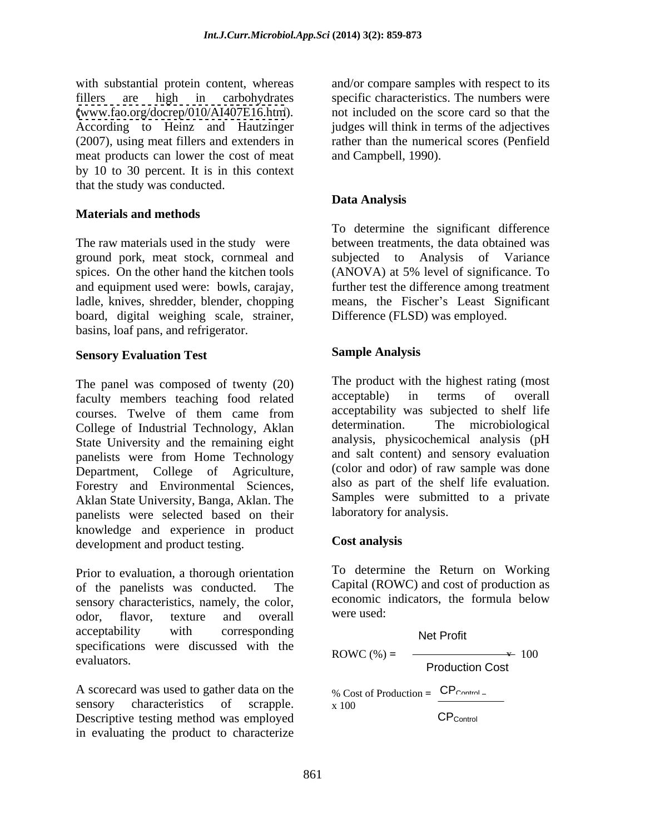with substantial protein content, whereas fillers are high in carbohydrates specific characteristics. The numbers were [\(www.fao.org/docrep/010/AI407E16.htm](http://www.fao.org/docrep/010/AI407E16.htm)). and included on the score card so that the According to Heinz and Hautzinger judges will think in terms of the adjectives (2007), using meat fillers and extenders in rather than the numerical scores (Penfield meat products can lower the cost of meat by 10 to 30 percent. It is in this context that the study was conducted.

### **Materials and methods**

The raw materials used in the study were ground pork, meat stock, cornmeal and spices. On the other hand the kitchen tools (ANOVA) at 5% level of significance. To and equipment used were: bowls, carajay, ladle, knives, shredder, blender, chopping means, the Fischer's Least Significant board, digital weighing scale, strainer, basins, loaf pans, and refrigerator.

### **Sensory Evaluation Test Sample Analysis**

The panel was composed of twenty  $(20)$  The product with the highest rating (most faculty members teaching food related acceptable) in terms of overall faculty members teaching food related courses. Twelve of them came from acceptability was subjected to shelf life College of Industrial Technology, Aklan determination. State University and the remaining eight panelists were from Home Technology Department, College of Agriculture, Forestry and Environmental Sciences, Aklan State University, Banga, Aklan. The panelists were selected based on their knowledge and experience in product<br>development and product testing Cost analysis development and product testing.

Prior to evaluation, a thorough orientation of the panelists was conducted. The Capital (ROWC) and cost of production as<br>sensory characteristics namely the color economic indicators, the formula below sensory characteristics, namely, the color, exemple example example the sense of the sense of the sense of the sense of the sense of the sense of the sense of the sense of the sense of the sense of the sense of the sense o odor, flavor, texture and overall were used: specifications were discussed with the  $\text{ROWC } (\%) =$   $\frac{12211244}{\times} 100$ 

A scorecard was used to gather data on the  $\%$  Cost of Production = CP Control – sensory characteristics of scrapple.  $x 100$ Descriptive testing method was employed in evaluating the product to characterize

and/or compare samples with respect to its not included on the score card so that the judges will think in terms of the adjectives and Campbell, 1990).

## **Data Analysis**

To determine the significant difference between treatments, the data obtained was subjected to Analysis of Variance further test the difference among treatment Difference (FLSD) was employed.

### **Sample Analysis**

The product with the highest rating (most acceptable) in terms of overall acceptability was subjected to shelf life The microbiological analysis, physicochemical analysis (pH and salt content) and sensory evaluation (color and odor) of raw sample was done also as part of the shelf life evaluation. Samples were submitted to a private laboratory for analysis.

### **Cost analysis**

To determine the Return on Working Capital (ROWC) and cost of production as economic indicators, the formula below were used:

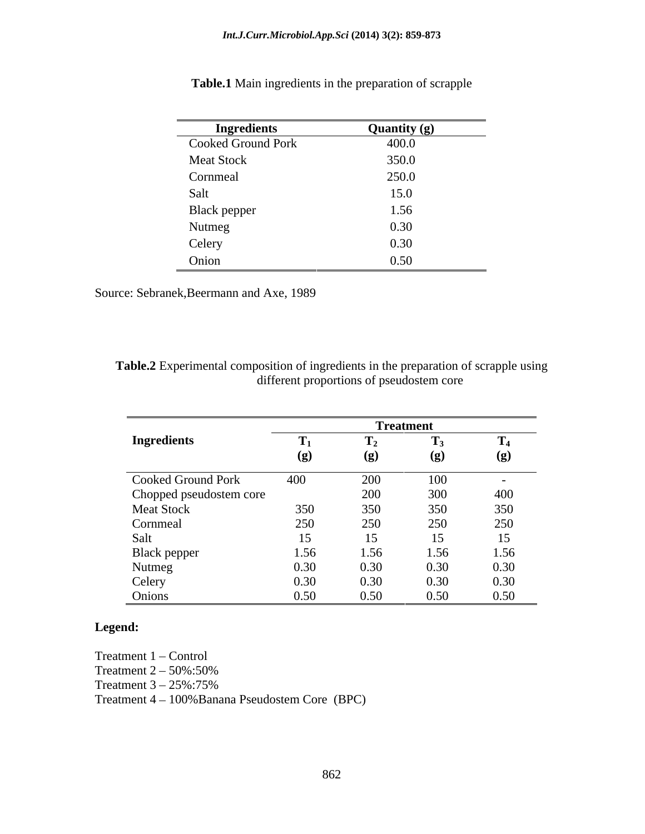| <b>Ingredients</b>  | <b>Quantity (g)</b> |
|---------------------|---------------------|
| Cooked Ground Pork  | 400.0               |
| <b>Meat Stock</b>   | 350.0               |
| Cornmeal            | 250.0               |
| Salt                | 15.0                |
| <b>Black pepper</b> | 1.56                |
| Nutmeg              | 0.30                |
| Celery              | 0.30                |
| Onion               | 0.50                |

**Table.1** Main ingredients in the preparation of scrapple

Source: Sebranek,Beermann and Axe, 1989

**Table.2** Experimental composition of ingredients in the preparation of scrapple using different proportions of pseudostem core

|                         |      |      | <b>Treatment</b> |            |
|-------------------------|------|------|------------------|------------|
| <b>Ingredients</b>      |      | 12   |                  |            |
|                         | (g)  | (g)  | (g)              | <b>(g)</b> |
| Cooked Ground Pork      | 400  | 200  | 100              |            |
| Chopped pseudostem core |      | 200  | 300              | 400        |
| <b>Meat Stock</b>       | 350  | 350  | 350              | 350        |
| Cornmeal                | 250  | 250  | 250              | 250        |
| Salt                    | 15   | 15   | 15               | 15         |
| <b>Black pepper</b>     | 1.56 | 1.56 | 1.56             | 1.56       |
| Nutmeg                  | 0.30 | 0.30 | 0.30             | 0.30       |
| Celery                  | 0.30 | 0.30 | 0.30             | 0.30       |
| Onions                  | 0.50 | 0.50 | 0.50             | 0.50       |

### **Legend:**

Treatment 1 – Control Treatment  $2 - 50\% : 50\%$ <br>Treatment  $3 - 25\% : 75\%$ Treatment  $3 - 25\% : 75\%$ Treatment 4 - 100% Banana Pseudostem Core (BPC)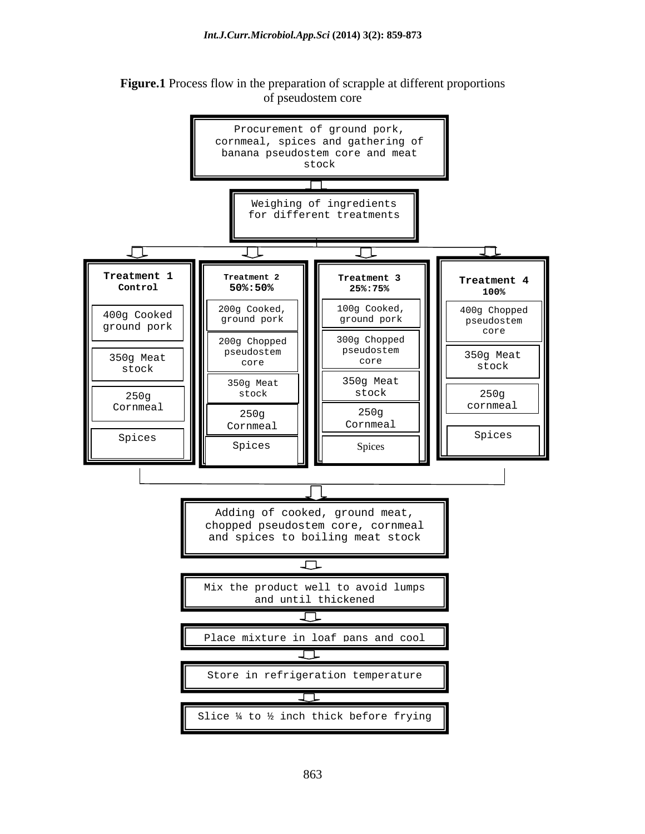### **Figure.1** Process flow in the preparation of scrapple at different proportions of pseudostem core

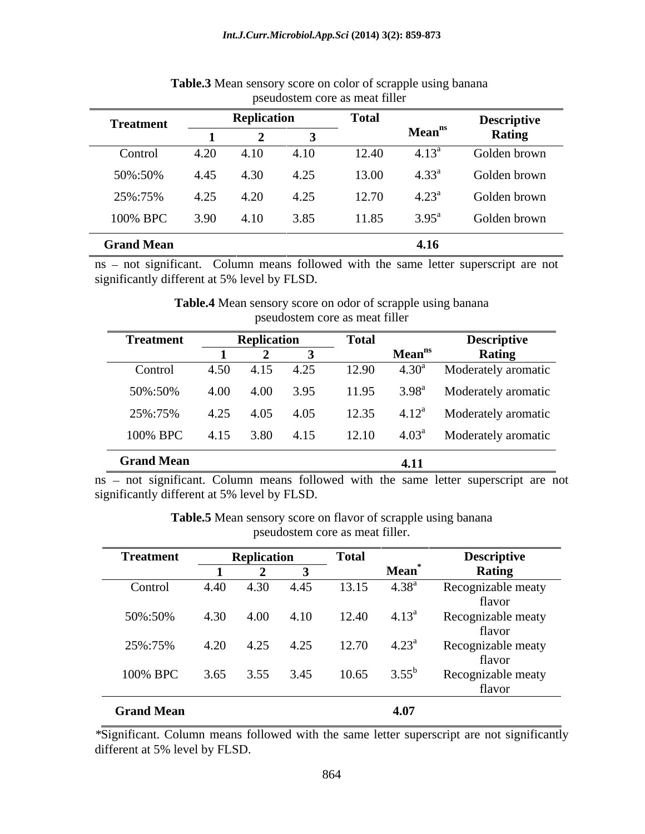|                   |      |                    |      | preacherent core as meat more |                |                    |
|-------------------|------|--------------------|------|-------------------------------|----------------|--------------------|
| <b>Treatment</b>  |      | <b>Replication</b> |      | <b>Total</b>                  |                | <b>Descriptive</b> |
|                   |      |                    |      |                               | <b>Mean</b>    | Rating             |
| Control           | 4.20 | 4.IU               | 4.10 | 12.40                         | $4.13^{\circ}$ | Golden brown       |
| 50%:50%           | 4.45 | 4.30               | 4.25 | 13.00                         | $4.33^{\circ}$ | Golden brown       |
| 25%:75%           | 4.25 | 4.20               | 4.25 | 12.70                         | $4.23^{\rm a}$ | Golden brown       |
| 100% BPC          | 3.90 | 4.10               | 3.85 | 11.85                         | $3.95^\circ$   | Golden brown       |
| <b>Grand Mean</b> |      |                    |      |                               | 4.16           |                    |

| --<br>. .<br><b>Table.:</b><br>eusing banana<br>$\sim$ $\sim$ $\sim$ $\sim$<br>scrapple<br>$\cdots$<br>senso<br>color<br>wlear<br>`OT<br>score on |  |
|---------------------------------------------------------------------------------------------------------------------------------------------------|--|
| neat filler<br>$-98$ m<br>pseudostem<br>core<br>.                                                                                                 |  |

ns - not significant. Column means followed with the same letter superscript are not significantly different at 5% level by FLSD.

> **Table.4** Mean sensory score on odor of scrapple using banana pseudostem core as meat filler

| <b>Treatment</b>  |      | <b>Replication</b> |           | <b>Total</b> |                   | <b>Descriptive</b>  |
|-------------------|------|--------------------|-----------|--------------|-------------------|---------------------|
|                   |      |                    |           |              | Mean <sup>n</sup> | <b>Rating</b>       |
| Control           | 4.50 |                    | 4.15 4.25 | 12.90        | $4.30^{\rm a}$    | Moderately aromatic |
| 50%:50%           | 4.00 | 4.00               | 3.95      | 11.95        | $3.98^{a}$        | Moderately aromatic |
| 25%:75%           | 4.25 | 4.05               | 4.05      | 12.35        | $4.12^a$          | Moderately aromatic |
| 100% BPC          | 4.15 | 3.80               | 4.15      | 12.10        | $4.03^{\rm a}$    | Moderately aromatic |
| <b>Grand Mean</b> |      |                    |           |              | 4.11              |                     |

ns - not significant. Column means followed with the same letter superscript are not significantly different at 5% level by FLSD.

> **Table.5** Mean sensory score on flavor of scrapple using banana pseudostem core as meat filler.

| <b>Treatment</b>  |      | Replication |      | <b>Total</b> |                | <b>Descriptive</b>           |
|-------------------|------|-------------|------|--------------|----------------|------------------------------|
|                   |      |             |      |              | Mean           | Rating                       |
| Control           | 4.40 | 4.30        | 4.45 | 13.15        | $4.38^{a}$     | Recognizable meaty           |
|                   |      |             |      |              |                | flavor                       |
| 50%:50%           | 4.30 | 4.00        | 4.10 | 12.40        | $4.13^{\circ}$ | Recognizable meaty<br>flavor |
| 25%:75%           | 4.20 | 4.25        | 4.25 | 12.70        | $4.23^{\rm a}$ | Recognizable meaty<br>flavor |
| 100% BPC          | 3.65 | 3.55        | 3.45 | 10.65        | $3.55^{b}$     | Recognizable meaty<br>flavor |
| <b>Grand Mean</b> |      |             |      |              | 4.07           |                              |

*\**Significant. Column means followed with the same letter superscript are not significantly different at 5% level by FLSD.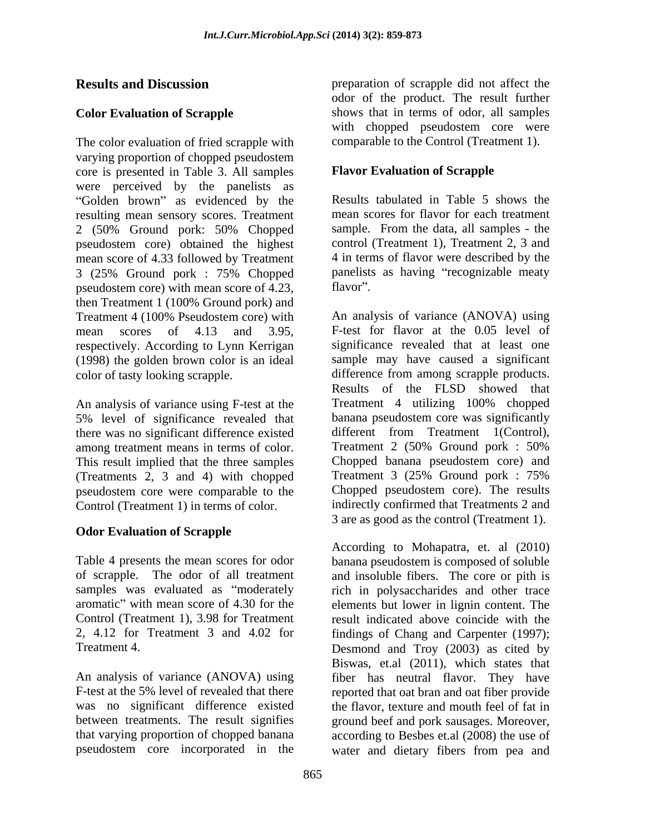The color evaluation of fried scrapple with varying proportion of chopped pseudostem core is presented in Table 3. All samples were perceived by the panelists as "Golden brown" as evidenced by the resulting mean sensory scores. Treatment 2 (50% Ground pork: 50% Chopped pseudostem core) obtained the highest mean score of 4.33 followed by Treatment 3 (25% Ground pork : 75% Chopped pseudostem core) with mean score of 4.23, then Treatment 1 (100% Ground pork) and respectively. According to Lynn Kerrigan (1998) the golden brown color is an ideal

5% level of significance revealed that among treatment means in terms of color. Treatment 2 (50% Ground pork: 50% This result implied that the three samples<br>
(Treatments 2, 3 and 4) with chonned Treatment 3 (25% Ground pork : 75% (Treatments 2, 3 and 4) with chopped pseudostem core were comparable to the Control (Treatment 1) in terms of color.

### **Odor Evaluation of Scrapple**

pseudostem core incorporated in the water and dietary fibers from pea and

**Results and Discussion** preparation of scrapple did not affect the **Color Evaluation of Scrapple**  shows that in terms of odor, all samples odor of the product. The result further with chopped pseudostem core were comparable to the Control (Treatment 1).

### **Flavor Evaluation of Scrapple**

Results tabulated in Table 5 shows the mean scores for flavor for each treatment sample. From the data, all samples - the control (Treatment 1), Treatment 2, 3 and 4 in terms of flavor were described by the panelists as having "recognizable meaty flavor".

Treatment 4 (100% Pseudostem core) with An analysis of variance (ANOVA) using mean scores of 4.13 and 3.95, F-test for flavor at the 0.05 level of color of tasty looking scrapple. difference from among scrapple products. An analysis of variance using F-test at the Treatment 4 utilizing 100% chopped there was no significant difference existed different from Treatment 1(Control), An analysis of variance (ANOVA) using significance revealed that at least one sample may have caused a significant Results of the FLSD showed that Treatment 4 utilizing 100% chopped banana pseudostem core was significantly Treatment 2 (50% Ground pork : 50% Chopped banana pseudostem core) and Treatment 3 (25% Ground pork : 75% Chopped pseudostem core). The results indirectly confirmed that Treatments 2 and 3 are as good as the control (Treatment 1).

Table 4 presents the mean scores for odor banana pseudostem is composed of soluble of scrapple. The odor of all treatment and insoluble fibers. The core or pith is samples was evaluated as "moderately rich in polysaccharides and other trace aromatic" with mean score of 4.30 for the elements but lower in lignin content. The Control (Treatment 1), 3.98 for Treatment result indicated above coincide with the 2, 4.12 for Treatment 3 and 4.02 for findings of Chang and Carpenter (1997); Treatment 4. Desmond and Troy (2003) as cited by An analysis of variance (ANOVA) using fiber has neutral flavor. They have F-test at the 5% level of revealed that there reported that oat bran and oat fiber provide was no significant difference existed the flavor, texture and mouth feel of fat in between treatments. The result signifies ground beef and pork sausages. Moreover, that varying proportion of chopped banana according to Besbes et.al (2008) the use of According to Mohapatra, et. al (2010) Biswas, et.al (2011), which states that water and dietary fibers from pea and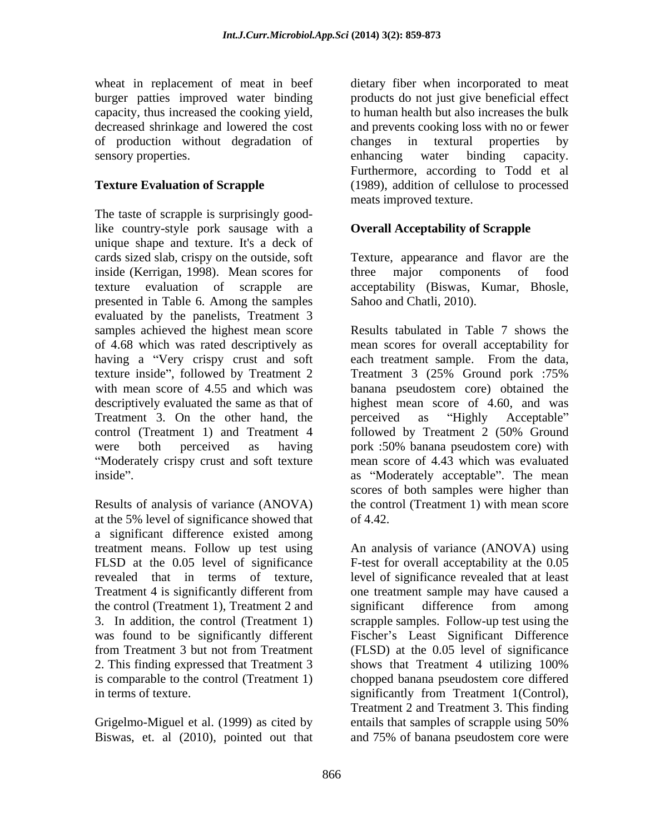wheat in replacement of meat in beef dietary fiber when incorporated to meat burger patties improved water binding products do not just give beneficial effect capacity, thus increased the cooking yield, decreased shrinkage and lowered the cost and prevents cooking loss with no or fewer of production without degradation of changes in textural properties by sensory properties. The enhancing water binding capacity.

The taste of scrapple is surprisingly goodlike country-style pork sausage with a unique shape and texture. It's a deck of cards sized slab, crispy on the outside, soft Texture, appearance and flavor are the inside (Kerrigan, 1998). Mean scores for three major components of food texture evaluation of scrapple are acceptability (Biswas, Kumar, Bhosle, presented in Table 6. Among the samples evaluated by the panelists, Treatment 3 samples achieved the highest mean score of 4.68 which was rated descriptively as having a "Very crispy crust and soft each treatment sample. From the data, texture inside", followed by Treatment 2 Treatment 3 (25% Ground pork :75% with mean score of 4.55 and which was banana pseudostem core) obtained the descriptively evaluated the same as that of highest mean score of 4.60, and was Treatment 3. On the other hand, the perceived as "Highly Acceptable" control (Treatment 1) and Treatment 4 followed by Treatment 2 (50% Ground were both perceived as having pork :50% banana pseudostem core) with Moderately crispy crust and soft texture inside". The mean as "Moderately acceptable". The mean

at the 5% level of significance showed that a significant difference existed among treatment means. Follow up test using the control (Treatment 1), Treatment 2 and 2. This finding expressed that Treatment 3 shows that Treatment 4 utilizing 100%

Grigelmo-Miguel et al. (1999) as cited by entails that samples of scrapple using 50% Biswas, et. al (2010), pointed out that and 75% of banana pseudostem core were

**Texture Evaluation of Scrapple** (1989), addition of cellulose to processed to human health but also increases the bulk changes in textural properties by enhancing water binding capacity. Furthermore, according to Todd et al meats improved texture.

### **Overall Acceptability of Scrapple**

three major components of food Sahoo and Chatli, 2010).

Results of analysis of variance (ANOVA) the control (Treatment 1) with mean score Results tabulated in Table 7 shows the mean scores for overall acceptability for perceived as "Highly Acceptable" followed by Treatment 2 (50% Ground mean score of 4.43 which was evaluated scores of both samples were higher than of 4.42.

FLSD at the 0.05 level of significance F-test for overall acceptability at the 0.05 revealed that in terms of texture, level of significance revealed that at least Treatment 4 is significantly different from one treatment sample may have caused a 3. In addition, the control (Treatment 1) scrapple samples. Follow-up test using the was found to be significantly different Fischer's Least Significant Difference from Treatment 3 but not from Treatment (FLSD) at the 0.05 level of significance is comparable to the control (Treatment 1) chopped banana pseudostem core differed in terms of texture. significantly from Treatment 1(Control), An analysis of variance (ANOVA) using significant difference from among shows that Treatment 4 utilizing 100% Treatment 2 and Treatment 3. This finding entails that samples of scrapple using 50% and 75% of banana pseudostem core were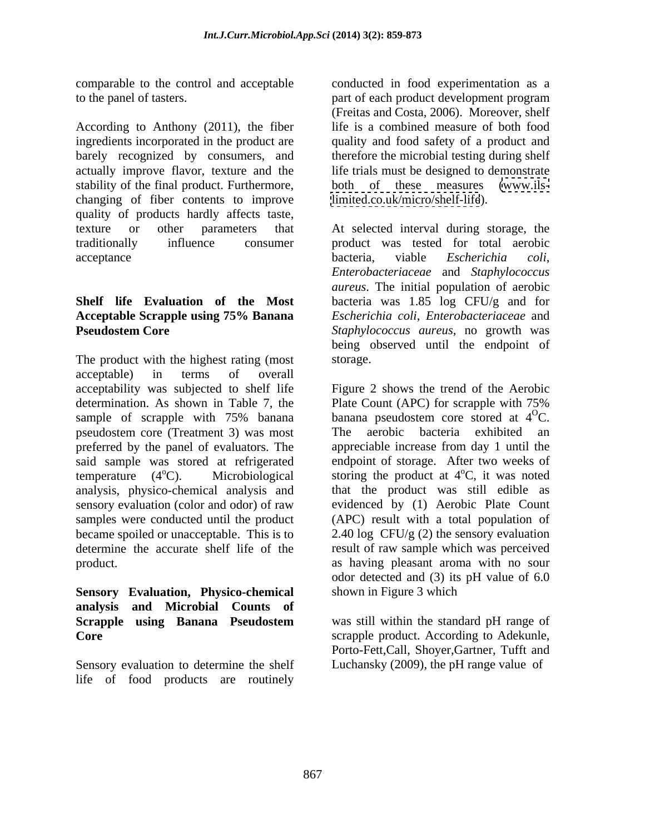to the panel of tasters. The panel of tasters of the panel of tasters of each product development program

According to Anthony (2011), the fiber ingredients incorporated in the product are barely recognized by consumers, and actually improve flavor, texture and the stability of the final product. Furthermore, both of these measures (www.ilschanging of fiber contents to improve quality of products hardly affects taste, texture or other parameters that At selected interval during storage, the traditionally influence consumer product was tested for total aerobic acceptance bacteria, viable Escherichia coli,

The product with the highest rating (most storage. acceptable) in terms of overall acceptability was subjected to shelf life determination. As shown in Table 7, the<br>sample of scrapple with 75% banana band band band band band band correct at  $4^{0}C$ . sample of scrapple with 75% banana banana pseudostem core stored at  $4^{\circ}$ C. pseudostem core (Treatment 3) was most preferred by the panel of evaluators. The appreciable increase from day 1 until the said sample was stored at refrigerated temperature  $(4^{\circ}C)$ . Microbiological storing the product at  $4^{\circ}C$ , it was noted analysis, physico-chemical analysis and sensory evaluation (color and odor) of raw evidenced by (1) Aerobic Plate Count samples were conducted until the product (APC) result with a total population of became spoiled or unacceptable. This is to 2.40 log CFU/g (2) the sensory evaluation determine the accurate shelf life of the result of raw sample which was perceived product. as having pleasant aroma with no sour

# **Sensory Evaluation, Physico-chemical analysis and Microbial Counts of**

Sensory evaluation to determine the shelf life of food products are routinely

comparable to the control and acceptable conducted in food experimentation as a part of each product development program (Freitas and Costa, 2006). Moreover, shelf life is a combined measure of both food quality and food safety of a product and therefore the microbial testing during shelf life trials must be designed to demonstrate both of these measures [\(www.ils](http://www.ils-)<limited.co.uk/micro/shelf-life>).

**Shelf life Evaluation of the Most** bacteria was 1.85 log CFU/g and for **Acceptable Scrapple using 75% Banana Pseudostem Core** *Staphylococcus aureus,* no growth was bacteria, viable *Escherichia coli*, *Enterobacteriaceae* and *Staphylococcus aureus*. The initial population of aerobic *Escherichia coli*, *Enterobacteriaceae* and being observed until the endpoint of storage.

> Figure 2 shows the trend of the Aerobic Plate Count (APC) for scrapple with 75% banana pseudostem core stored at  $4^{\circ}$ C. C. The aerobic bacteria exhibited an appreciable increase from day 1 until the endpoint of storage. After two weeks of <sup>o</sup>C, it was noted that the product was still edible as odor detected and (3) its pH value of 6.0 shown in Figure 3 which

**Scrapple using Banana Pseudostem Core** Scrapple product. According to Adekunle, was still within the standard pH range of Porto-Fett,Call, Shoyer,Gartner, Tufft and Luchansky (2009), the pH range value of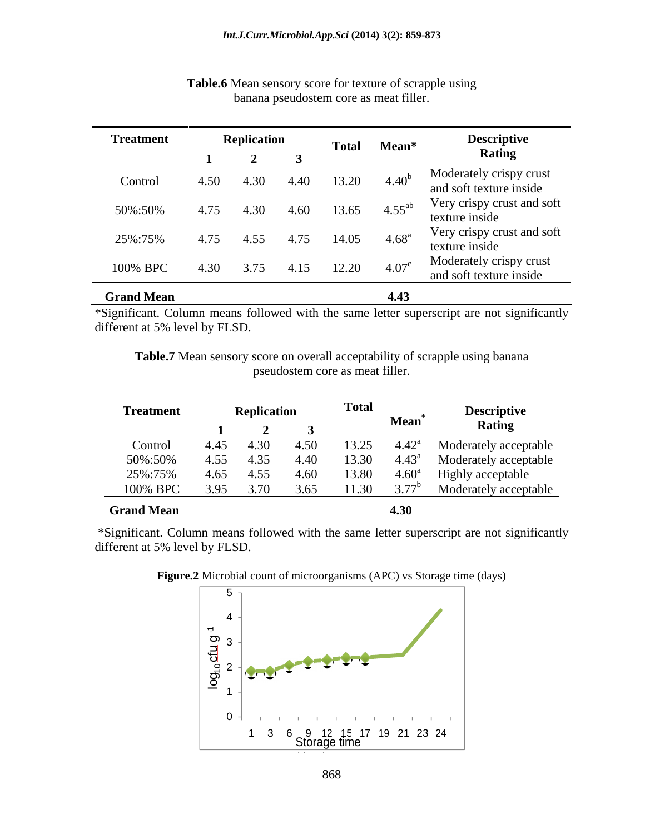| <b>Treatment</b>               |      | <b>Replication</b> |              | Total Mean*                     |                                     | <b>Descriptive</b>                                                                         |
|--------------------------------|------|--------------------|--------------|---------------------------------|-------------------------------------|--------------------------------------------------------------------------------------------|
|                                |      | $\gamma$           | $\mathbf{3}$ |                                 |                                     | Rating                                                                                     |
| Control                        | 4.50 | 4.30               | 4.40         | 13.20                           | $4.40^{b}$                          | Moderately crispy crust<br>and soft texture inside                                         |
| 50%:50%                        | 4.75 | 4.30               | 4.60         | 13.65                           | $4.55^{ab}$                         | Very crispy crust and soft<br>texture inside                                               |
| 25%:75%                        | 4.75 | 4.55               | 4.75         | 14.05                           | $4.68^{\rm a}$                      | Very crispy crust and soft<br>texture inside                                               |
| 100% BPC                       | 4.30 | 3.75               | 4.15         | 12.20                           | 4.07 <sup>c</sup>                   | Moderately crispy crust<br>and soft texture inside                                         |
| <b>Grand Mean</b>              |      |                    |              |                                 | 4.43                                |                                                                                            |
| different at 5% level by FLSD. |      |                    |              |                                 |                                     | *Significant. Column means followed with the same letter superscript are not significantly |
|                                |      |                    |              | pseudostem core as meat filler. |                                     | Table.7 Mean sensory score on overall acceptability of scrapple using banana               |
|                                |      |                    |              |                                 |                                     |                                                                                            |
| <b>Treatment</b>               |      | Replication        | $\mathbf{3}$ | <b>Total</b>                    | Mean <sup>*</sup>                   | <b>Descriptive</b><br>Rating                                                               |
| Control                        |      | 4.45 4.30          | 4.50         | 13.25                           | $4.42^{\rm a}$                      | Moderately acceptable                                                                      |
| 50%:50%                        | 4.55 | 4.35               | 4.40         | 13.30                           | $4.43^{\circ}$                      | Moderately acceptable                                                                      |
| 25%:75%<br>100% BPC            | 4.65 | 4.55<br>3.95 3.70  | 4.60<br>3.65 | 13.80<br>11.30                  | 4.60 <sup>a</sup><br>$3.77^{\rm b}$ | Highly acceptable                                                                          |
| <b>Grand Mean</b>              |      |                    |              |                                 | 4.30                                | Moderately acceptable                                                                      |
| different at 5% level by FLSD. |      |                    |              |                                 |                                     | *Significant. Column means followed with the same letter superscript are not significantly |
|                                |      |                    |              |                                 |                                     |                                                                                            |
|                                |      |                    |              |                                 |                                     | Figure.2 Microbial count of microorganisms (APC) vs Storage time (days)                    |

**Table.6** Mean sensory score for texture of scrapple using banana pseudostem core as meat filler.

| <b>Treatment</b>  |      | <b>Replication</b> |      | <b>Total</b> |                     | <b>Descriptive</b>        |
|-------------------|------|--------------------|------|--------------|---------------------|---------------------------|
|                   |      |                    |      |              | Mean                | Rating                    |
| Control           |      |                    | 4.50 | 13.25        | $4.42^{\mathrm{a}}$ | Moderately acceptable     |
| 50%:50%           | 4.55 | 4.35               | 4.40 | 13.30        | $4.43^{\circ}$      | Moderately acceptable     |
| 25%:75%           | 4.65 | 4.55               | 4.60 | 13.80        |                     | $4.60a$ Highly acceptable |
| 100% BPC          | 3.95 |                    | 3.65 | 11.30        | $3.77^{b}$          | Moderately acceptable     |
| <b>Grand Mean</b> |      |                    |      |              | . 30-               |                           |



**Figure.2** Microbial count of microorganisms (APC) vs Storage time (days)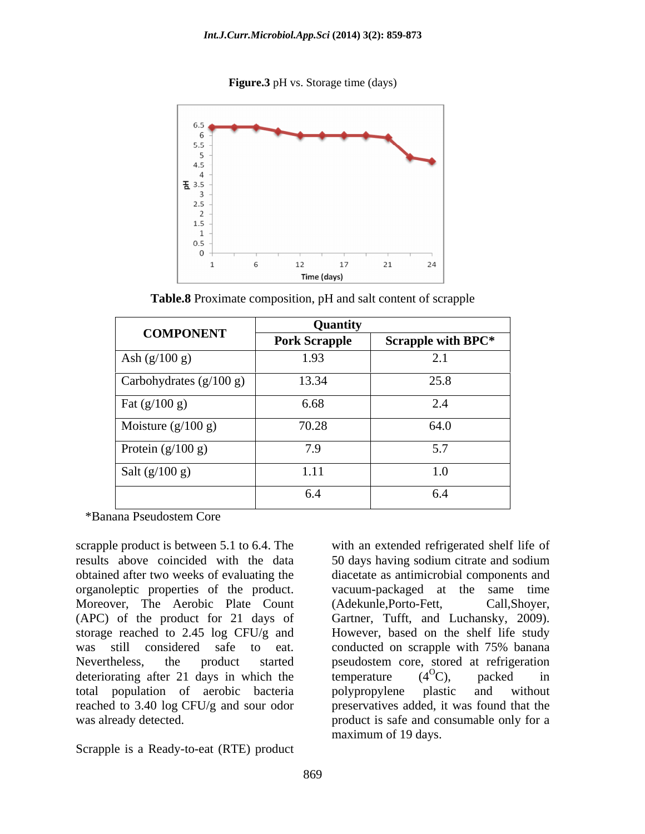**Figure.3** pH vs. Storage time (days)



**Table.8** Proximate composition, pH and salt content of scrapple

|                           | Quantity             |                           |
|---------------------------|----------------------|---------------------------|
| <b>COMPONENT</b>          | <b>Pork Scrapple</b> | <b>Scrapple with BPC*</b> |
| Ash $(g/100 g)$           | 1.93                 | 2.1                       |
| Carbohydrates $(g/100 g)$ | 13.34                | 25.8                      |
| Fat $(g/100 g)$           | 6.68                 | 2.4                       |
| Moisture $(g/100 g)$      | 70.28                | 64.0                      |
| Protein $(g/100 g)$       | 7.9                  | 5.7                       |
| Salt $(g/100 g)$          | 1.11                 | 1.0                       |
|                           | 6.4                  | 6.4                       |

\*Banana Pseudostem Core

organoleptic properties of the product. Moreover, The Aerobic Plate Count (Adekunie, Porto-Fett, Call, Shover, deteriorating after 21 days in which the temperature  $(4^{\circ}C)$ , packed in total population of aerobic bacteria reached to 3.40 log CFU/g and sour odor

Scrapple is a Ready-to-eat (RTE) product

scrapple product is between 5.1 to 6.4. The with an extended refrigerated shelf life of results above coincided with the data 50 days having sodium citrate and sodium obtained after two weeks of evaluating the diacetate as antimicrobial components and (APC) of the product for 21 days of Gartner, Tufft, and Luchansky, 2009). storage reached to 2.45 log CFU/g and However, based on the shelf life study was still considered safe to eat. conducted on scrapple with 75% banana Nevertheless, the product started pseudostem core, stored at refrigeration was already detected. The product is safe and consumable only for a series of a series of  $\alpha$ vacuum-packaged at the same time (Adekunle, Porto-Fett, temperature  $(4^{\circ}C)$ , packed in C), packed in polypropylene plastic and without preservatives added, it was found that the maximum of 19 days.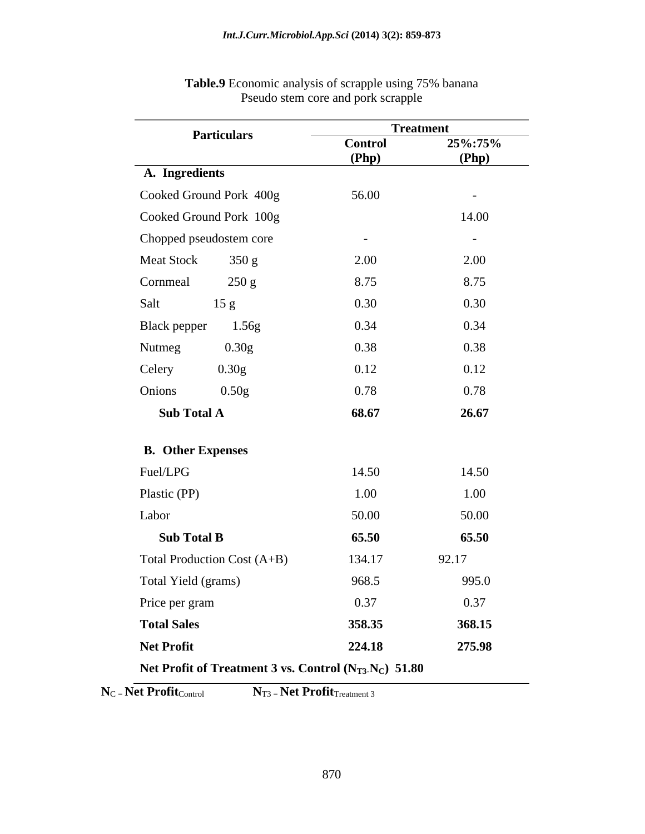|                                                                                |                       | <b>Treatment</b> |
|--------------------------------------------------------------------------------|-----------------------|------------------|
| <b>Particulars</b>                                                             | <b>Control</b>        | 25%:75%          |
|                                                                                | (Php)                 | (Php)            |
| A. Ingredients                                                                 |                       |                  |
| Cooked Ground Pork 400g                                                        | 56.00                 | $\sim$ $-$       |
| Cooked Ground Pork 100g                                                        |                       | 14.00            |
| Chopped pseudostem core                                                        | $\sim 1000$ m $^{-1}$ | $\sim$ $  \sim$  |
| 350 g<br><b>Meat Stock</b>                                                     | 2.00                  | 2.00             |
| 250 g<br>Cornmeal                                                              | 8.75                  | 8.75             |
| Salt<br>15 <sub>g</sub>                                                        | 0.30                  | 0.30             |
| 1.56g<br><b>Black pepper</b>                                                   | 0.34                  | 0.34             |
| 0.30g<br>Nutmeg                                                                | 0.38                  | 0.38             |
| Celery<br>0.30g                                                                | 0.12                  | 0.12             |
|                                                                                |                       |                  |
| 0.50g<br>Onions                                                                | 0.78                  | 0.78             |
| <b>Sub Total A</b>                                                             | 68.67                 | 26.67            |
| <b>B.</b> Other Expenses                                                       |                       |                  |
| Fuel/LPG                                                                       | 14.50                 | 14.50            |
| Plastic (PP)                                                                   | 1.00                  | 1.00             |
| Labor                                                                          | 50.00                 | 50.00            |
| <b>Sub Total B</b>                                                             | 65.50                 | 65.50            |
| Total Production Cost (A+B)                                                    | 134.17                | 92.17            |
| Total Yield (grams)                                                            | 968.5                 | 995.0            |
| Price per gram                                                                 | 0.37                  | 0.37             |
| <b>Total Sales</b>                                                             | 358.35                | 368.15           |
|                                                                                |                       |                  |
| <b>Net Profit</b>                                                              | 224.18                | 275.98           |
| Net Profit of Treatment 3 vs. Control (N <sub>T3</sub> .N <sub>C</sub> ) 51.80 |                       |                  |

**Table.9** Economic analysis of scrapple using 75% banana Pseudo stem core and pork scrapple

 $N_C$  = **Net Profit**<sub>Control</sub> **N**<sub>T3</sub> = **Net Profit**<sub>Treatment 3</sub>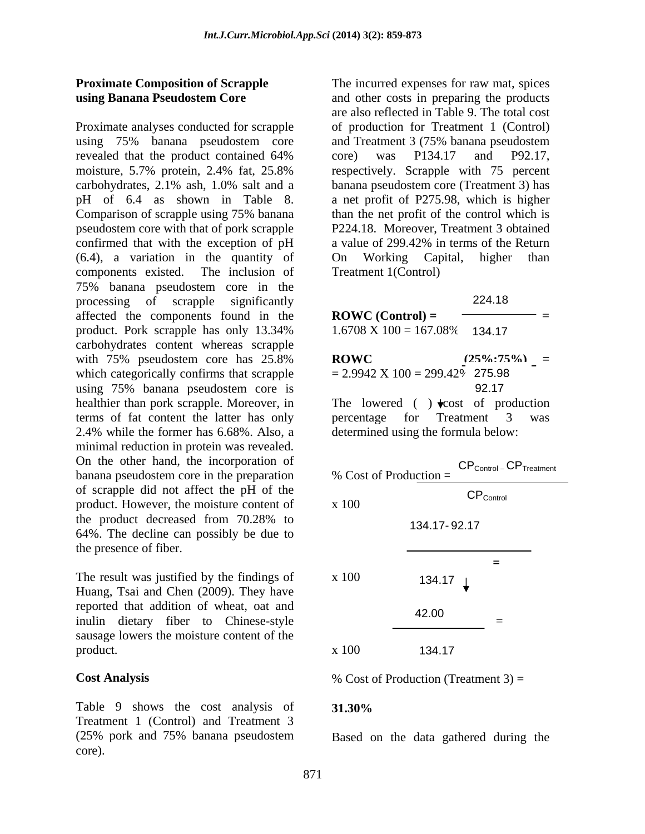Proximate analyses conducted for scrapple of production for Treatment 1 (Control) using 75% banana pseudostem core and Treatment 3 (75% banana pseudostem revealed that the product contained 64% core) was P134.17 and P92.17, moisture, 5.7% protein, 2.4% fat, 25.8% carbohydrates, 2.1% ash, 1.0% salt and a pH of 6.4 as shown in Table 8. a net profit of P275.98, which is higher Comparison of scrapple using 75% banana than the net profit of the control which is pseudostem core with that of pork scrapple confirmed that with the exception of pH a value of 299.42% in terms of the Return (6.4), a variation in the quantity of components existed. The inclusion of 75% banana pseudostem core in the processing of scrapple significantly 224.18 affected the components found in the carbohydrates content whereas scrapple which categorically confirms that scrapple using 75% banana pseudostem core is healthier than pork scrapple. Moreover, in terms of fat content the latter has only 2.4% while the former has 6.68%. Also, a minimal reduction in protein was revealed. On the other hand, the incorporation of banana pseudostem core in the preparation  $\%$  Cost of Production = of scrapple did not affect the pH of the product. However, the moisture content of x 100  $64\%$ . The decline can possibly be due to  $134.17-92.17$ the presence of fiber.

The result was justified by the findings of  $x 100$  134.17 Huang, Tsai and Chen (2009). They have reported that addition of wheat, oat and inulin dietary fiber to Chinese-style sausage lowers the moisture content of the  $x 100$  134.17

Table 9 shows the cost analysis of 31.30% Treatment 1 (Control) and Treatment 3 (25% pork and 75% banana pseudostem core).

**Proximate Composition of Scrapple** The incurred expenses for raw mat, spices **using Banana Pseudostem Core** and other costs in preparing the products are also reflected in Table 9. The total cost core) was P134.17 and P92.17, respectively. Scrapple with 75 percent banana pseudostem core (Treatment 3) has than the net profit of the control which is P224.18. Moreover, Treatment 3 obtained a value of 299.42% in terms of the Return On Working Capital, higher than Treatment 1(Control)

224.18

| affected the components found in the       | $\text{ROWC (Control)} =$ $\qquad \qquad =$ |
|--------------------------------------------|---------------------------------------------|
| product. Pork scrapple has only 13.34%     | $1.6708 \text{ X } 100 = 167.08\%$ 134.17   |
| carbohydrates content whereas scrapple     |                                             |
| with 75% pseudostem core has 25.8%         | <b>ROWC</b><br>$(25\% : 75\%)$              |
| which categorically confirms that scrapple | $= 2.9942 \text{ X } 100 = 299.42\%$ 275.98 |
| using 75% banana pseudostem core is        | 92.17                                       |
| healthier than pork scrapple. Moreover, in | The lowered ( ) $\star$ cost of production  |
| terms of fat content the latter has only   | percentage for Treatment 3 was              |
| 2.4% while the former has 6.68%. Also, a   | determined using the formula below:         |
| minimal reduction in protein was revealed. |                                             |

the product decreased from  $70.28\%$  to  $\frac{124.17 \times 22.17}{124.17 \times 22.17}$ % Cost of Production =  $\frac{CP_{\text{Control}} - CP_{\text{Teatment}}}{CP_{\text{Control}}}$ <br>x 100  $\begin{array}{r} \n \text{and} \quad x \neq 100 \n \end{array}$ CPControl CPTreatment  $CP_{\text{Control}}$ 134.17  $\perp$ 134.17- 92.17

$$
\begin{array}{c}\n 42.88 \\
 \hline\n 134.17\n \end{array}
$$

**Cost Analysis** % Cost of Production (Treatment 3) =

42.00

**31.30%** Based on the data gathered during the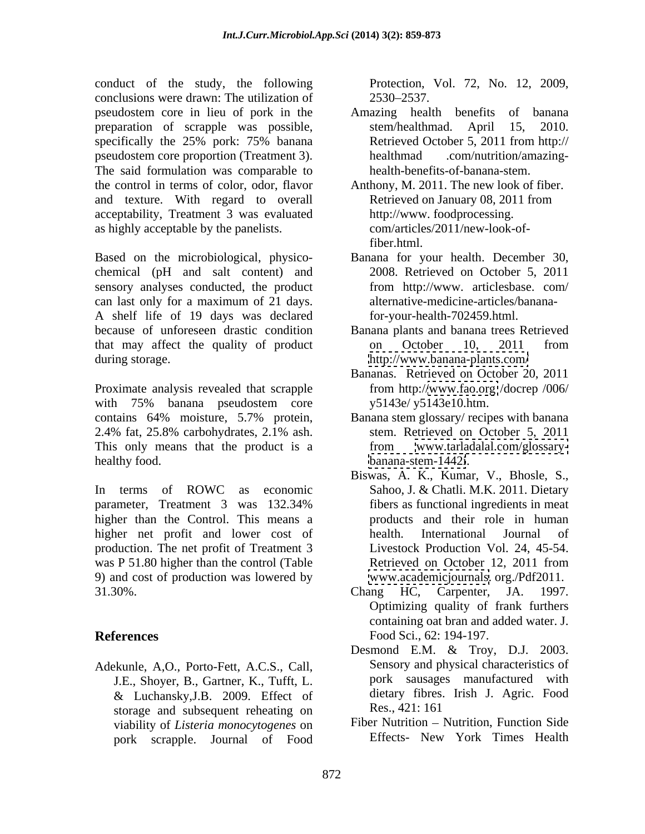conduct of the study, the following conclusions were drawn: The utilization of pseudostem core in lieu of pork in the preparation of scrapple was possible, stem/healthmad. April 15, 2010. specifically the 25% pork: 75% banana Retrieved October 5, 2011 from http:// pseudostem core proportion (Treatment 3). The said formulation was comparable to health-benefits-of-banana-stem. The said formulation was comparable to health-benefits-of-banana-stem.<br>
the control in terms of color, odor, flavor Anthony, M. 2011. The new look of fiber. and texture. With regard to overall acceptability, Treatment 3 was evaluated as highly acceptable by the panelists.

Based on the microbiological, physico- Banana for your health. December 30, chemical (pH and salt content) and sensory analyses conducted, the product can last only for a maximum of 21 days. A shelf life of 19 days was declared because of unforeseen drastic condition Banana plants and banana trees Retrieved that may affect the quality of product on October 10, 2011 from during storage. <http://www.banana-plants.com/>

Proximate analysis revealed that scrapple with 75% banana pseudostem core y5143e/y5143e10.htm. contains 64% moisture, 5.7% protein, 2.4% fat, 25.8% carbohydrates, 2.1% ash. This only means that the product is a from healthy food. <banana-stem-1442i>.

higher than the Control. This means a higher net profit and lower cost of health. International Journal of production. The net profit of Treatment 3 was P 51.80 higher than the control (Table Figure 2011 Retrieved on October 12, 2011 from 9) and cost of production was lowered by 31.30%. Chang HC, Carpenter, JA. 1997.

Adekunle, A,O., Porto-Fett, A.C.S., Call, J.E., Shoyer, B., Gartner, K., Tufft, L. storage and subsequent reheating on Res., 421:161 pork scrapple. Journal of Food

Protection, Vol. 72, No. 12, 2009, 2530 2537.

- Amazing health benefits of banana stem/healthmad. Retrieved October 5, 2011 from http:// healthmad .com/nutrition/amazing-
- Retrieved on January 08, 2011 from http://www. foodprocessing. com/articles/2011/new-look-offiber.html.
- 2008. Retrieved on October 5, 2011 from http://www. articlesbase. com/ alternative-medicine-articles/bananafor-your-health-702459.html.
- on October 10, 2011 from
- Bananas. Retrieved on October 20, 2011 from http:/[/www.fao.org](http://www.fao.org) /docrep /006/ y5143e/ y5143e10.htm.
- Banana stem glossary/ recipes with banana stem. Retrieved on October 5, 2011 [www.tarladalal.com/glossary-](http://www.tarladalal.com/glossary-)
- In terms of ROWC as economic Sahoo, J. & Chatli. M.K. 2011. Dietary parameter, Treatment 3 was 132.34% fibers as functional ingredients in meat Biswas, A. K., Kumar, V., Bhosle, S., fibers as functional ingredients in meat products and their role in human health. International Journal of Livestock Production Vol. 24, 45-54. Retrieved on October 12, 2011 from [www.academicjournals.](http://www.academicjournals) org./Pdf2011.
- **References** Food Sci., 62: 194-197. Optimizing quality of frank furthers containing oat bran and added water. J.
	- & Luchansky,J.B. 2009. Effect of Desmond E.M. & Troy, D.J. 2003. Sensory and physical characteristics of pork sausages manufactured with dietary fibres. Irish J. Agric. Food Res., 421: 161
	- viability of *Listeria monocytogenes* on Fiber Nutrition Nutrition, Function Side<br>
	pork scrapple Journal of Food Effects- New York Times Health Fiber Nutrition – Nutrition, Function Side Effects- New York Times Health